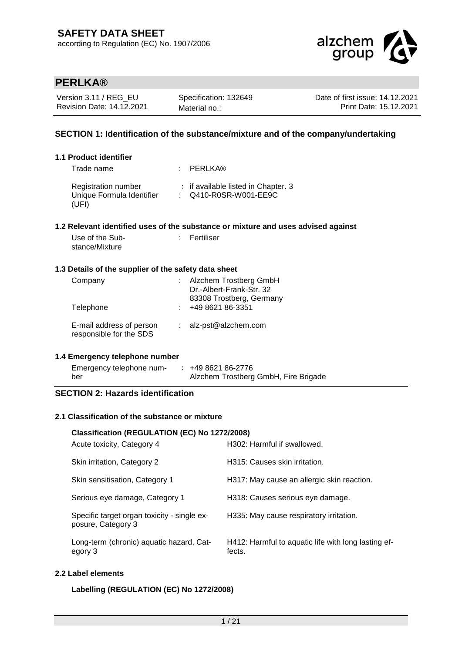

| Version 3.11 / REG EU     | Specification: 132649 | Date of first issue: 14.12.2021 |
|---------------------------|-----------------------|---------------------------------|
| Revision Date: 14.12.2021 | Material no.:         | Print Date: 15.12.2021          |

## **SECTION 1: Identification of the substance/mixture and of the company/undertaking**

### **1.1 Product identifier**

| Trade name                                                       | : PERLKA®                                                    |
|------------------------------------------------------------------|--------------------------------------------------------------|
| <b>Registration number</b><br>Unique Formula Identifier<br>(UFI) | : if available listed in Chapter. 3<br>: Q410-R0SR-W001-EE9C |

### **1.2 Relevant identified uses of the substance or mixture and uses advised against**

| Use of the Sub- | : Fertiliser |
|-----------------|--------------|
| stance/Mixture  |              |

### **1.3 Details of the supplier of the safety data sheet**

| Company<br>Telephone                                | Alzchem Trostberg GmbH<br>Dr.-Albert-Frank-Str. 32<br>83308 Trostberg, Germany<br>+49 8621 86-3351 |
|-----------------------------------------------------|----------------------------------------------------------------------------------------------------|
| E-mail address of person<br>responsible for the SDS | : alz-pst@alzchem.com                                                                              |

### **1.4 Emergency telephone number**

| Emergency telephone num- | +49 8621 86-2776                     |
|--------------------------|--------------------------------------|
| ber                      | Alzchem Trostberg GmbH, Fire Brigade |

### **SECTION 2: Hazards identification**

### **2.1 Classification of the substance or mixture**

## **Classification (REGULATION (EC) No 1272/2008)** Acute toxicity, Category 4 H302: Harmful if swallowed. Skin irritation, Category 2 H315: Causes skin irritation. Skin sensitisation, Category 1 H317: May cause an allergic skin reaction. Serious eye damage, Category 1 H318: Causes serious eye damage. Specific target organ toxicity - single exposure, Category 3 H335: May cause respiratory irritation. Long-term (chronic) aquatic hazard, Category 3 H412: Harmful to aquatic life with long lasting effects.

## **2.2 Label elements**

### **Labelling (REGULATION (EC) No 1272/2008)**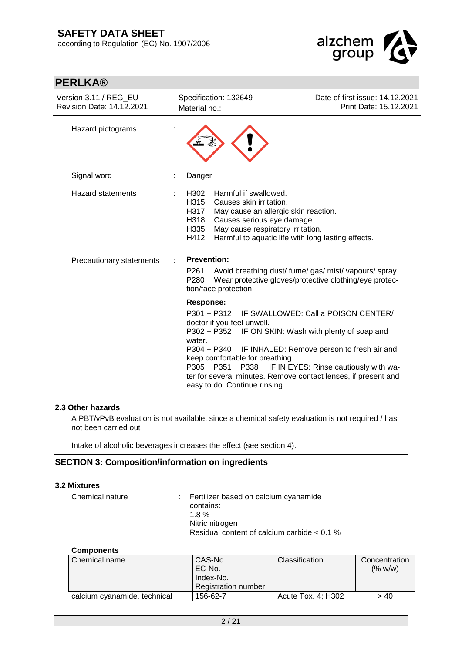

| <b>PERLKA®</b>                                            |                                                                                                                                                                                                                                                                                                             |                                                                                                                               |
|-----------------------------------------------------------|-------------------------------------------------------------------------------------------------------------------------------------------------------------------------------------------------------------------------------------------------------------------------------------------------------------|-------------------------------------------------------------------------------------------------------------------------------|
| Version 3.11 / REG_EU<br><b>Revision Date: 14.12.2021</b> | Specification: 132649<br>Material no.:                                                                                                                                                                                                                                                                      | Date of first issue: 14.12.2021<br>Print Date: 15.12.2021                                                                     |
| Hazard pictograms                                         |                                                                                                                                                                                                                                                                                                             |                                                                                                                               |
| Signal word                                               | Danger                                                                                                                                                                                                                                                                                                      |                                                                                                                               |
| Hazard statements<br>Precautionary statements             | H302<br>Harmful if swallowed.<br>H315<br>Causes skin irritation.<br>H317<br>May cause an allergic skin reaction.<br>Causes serious eye damage.<br>H318<br>May cause respiratory irritation.<br>H335<br>Harmful to aquatic life with long lasting effects.<br>H412<br><b>Prevention:</b><br>P <sub>261</sub> | Avoid breathing dust/ fume/ gas/ mist/ vapours/ spray.                                                                        |
|                                                           | P <sub>280</sub><br>tion/face protection.                                                                                                                                                                                                                                                                   | Wear protective gloves/protective clothing/eye protec-                                                                        |
|                                                           | <b>Response:</b><br>$P301 + P312$<br>doctor if you feel unwell.<br>P302 + P352<br>water.<br>P304 + P340<br>keep comfortable for breathing.<br>P305 + P351 + P338 IF IN EYES: Rinse cautiously with wa-<br>ter for several minutes. Remove contact lenses, if present and<br>easy to do. Continue rinsing.   | IF SWALLOWED: Call a POISON CENTER/<br>IF ON SKIN: Wash with plenty of soap and<br>IF INHALED: Remove person to fresh air and |

#### **2.3 Other hazards**

A PBT/vPvB evaluation is not available, since a chemical safety evaluation is not required / has not been carried out

Intake of alcoholic beverages increases the effect (see section 4).

### **SECTION 3: Composition/information on ingredients**

#### **3.2 Mixtures**

| Chemical nature | : Fertilizer based on calcium cyanamide       |
|-----------------|-----------------------------------------------|
|                 | contains:                                     |
|                 | 18%                                           |
|                 | Nitric nitrogen                               |
|                 | Residual content of calcium carbide $< 0.1$ % |

### **Components**

| <b>Chemical name</b>         | CAS-No.<br>EC-No.<br>Index-No.<br><b>Registration number</b> | Classification     | Concentration<br>(% w/w) |
|------------------------------|--------------------------------------------------------------|--------------------|--------------------------|
| calcium cyanamide, technical | 156-62-7                                                     | Acute Tox. 4; H302 | > 40                     |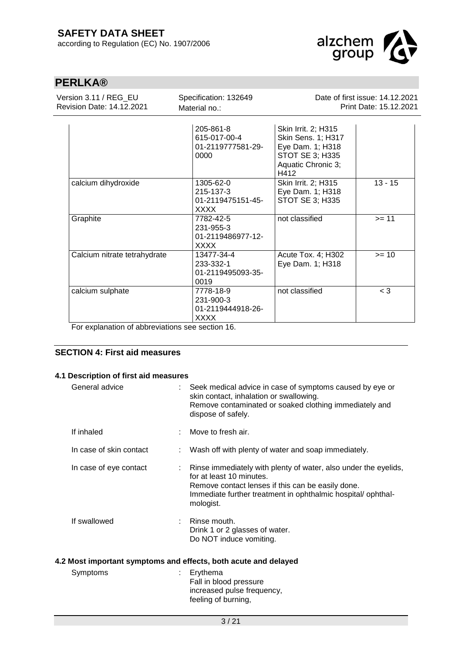

| Version 3.11 / REG EU<br>Revision Date: 14.12.2021                  | Specification: 132649<br>Material no.:                     | Date of first issue: 14.12.2021<br>Print Date: 15.12.2021                                                      |           |  |
|---------------------------------------------------------------------|------------------------------------------------------------|----------------------------------------------------------------------------------------------------------------|-----------|--|
|                                                                     | 205-861-8<br>615-017-00-4<br>01-2119777581-29-<br>0000     | Skin Irrit. 2; H315<br>Skin Sens. 1; H317<br>Eye Dam. 1; H318<br>STOT SE 3; H335<br>Aquatic Chronic 3;<br>H412 |           |  |
| calcium dihydroxide                                                 | 1305-62-0<br>215-137-3<br>01-2119475151-45-<br>XXXX        | Skin Irrit. 2; H315<br>Eye Dam. 1; H318<br>STOT SE 3; H335                                                     | $13 - 15$ |  |
| Graphite                                                            | 7782-42-5<br>231-955-3<br>01-2119486977-12-<br><b>XXXX</b> | not classified                                                                                                 | $>= 11$   |  |
| Calcium nitrate tetrahydrate                                        | 13477-34-4<br>233-332-1<br>01-2119495093-35-<br>0019       | Acute Tox. 4; H302<br>Eye Dam. 1; H318                                                                         | $>= 10$   |  |
| calcium sulphate<br>For ovplopation of obbroviotions ago agation 16 | 7778-18-9<br>231-900-3<br>01-2119444918-26-<br>XXXX        | not classified                                                                                                 | $<$ 3     |  |

For explanation of abbreviations see section 16.

## **SECTION 4: First aid measures**

### **4.1 Description of first aid measures**

| General advice          |   | Seek medical advice in case of symptoms caused by eye or<br>skin contact, inhalation or swallowing.<br>Remove contaminated or soaked clothing immediately and<br>dispose of safely.                                          |
|-------------------------|---|------------------------------------------------------------------------------------------------------------------------------------------------------------------------------------------------------------------------------|
| If inhaled              | ÷ | Move to fresh air.                                                                                                                                                                                                           |
| In case of skin contact |   | Wash off with plenty of water and soap immediately.                                                                                                                                                                          |
| In case of eye contact  |   | Rinse immediately with plenty of water, also under the eyelids,<br>for at least 10 minutes.<br>Remove contact lenses if this can be easily done.<br>Immediate further treatment in ophthalmic hospital/ophthal-<br>mologist. |
| If swallowed            |   | Rinse mouth.<br>Drink 1 or 2 glasses of water.<br>Do NOT induce vomiting.                                                                                                                                                    |
|                         |   | 4.2 Most important symptoms and effects, both acute and delayed                                                                                                                                                              |
| Symptoms                |   | Erythema<br>Fall in blood pressure                                                                                                                                                                                           |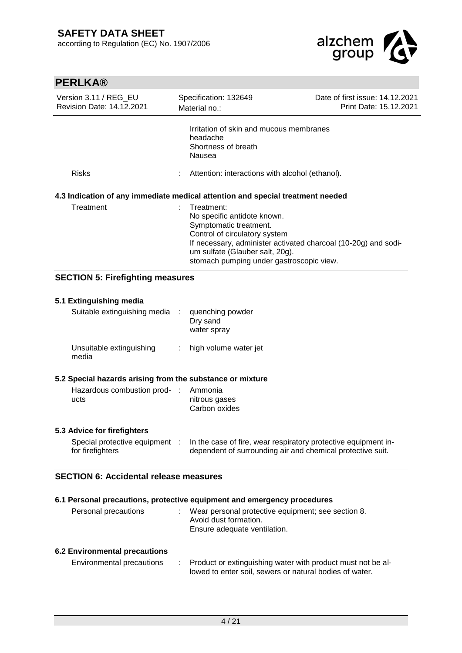

| PERLAR                                             |                                                                                                                                                                                                                                                       |                                                           |
|----------------------------------------------------|-------------------------------------------------------------------------------------------------------------------------------------------------------------------------------------------------------------------------------------------------------|-----------------------------------------------------------|
| Version 3.11 / REG EU<br>Revision Date: 14.12.2021 | Specification: 132649<br>Material no.:                                                                                                                                                                                                                | Date of first issue: 14.12.2021<br>Print Date: 15.12.2021 |
| <b>Risks</b>                                       | Irritation of skin and mucous membranes<br>headache<br>Shortness of breath<br>Nausea<br>Attention: interactions with alcohol (ethanol).                                                                                                               |                                                           |
|                                                    | 4.3 Indication of any immediate medical attention and special treatment needed                                                                                                                                                                        |                                                           |
| Treatment                                          | Treatment:<br>No specific antidote known.<br>Symptomatic treatment.<br>Control of circulatory system<br>If necessary, administer activated charcoal (10-20g) and sodi-<br>um sulfate (Glauber salt, 20g).<br>stomach pumping under gastroscopic view. |                                                           |

## **SECTION 5: Firefighting measures**

## **5.1 Extinguishing media** Suitable extinguishing media : quenching powder Dry sand water spray Unsuitable extinguishing media : high volume water jet **5.2 Special hazards arising from the substance or mixture** Hazardous combustion prod-: Ammonia ucts nitrous gases Carbon oxides

### **5.3 Advice for firefighters**

| Special protective equipment | In the case of fire, wear respiratory protective equipment in- |
|------------------------------|----------------------------------------------------------------|
| for firefighters             | dependent of surrounding air and chemical protective suit.     |

## **SECTION 6: Accidental release measures**

### **6.1 Personal precautions, protective equipment and emergency procedures**

| Personal precautions | Wear personal protective equipment; see section 8.<br>Avoid dust formation. |
|----------------------|-----------------------------------------------------------------------------|
|                      | Ensure adequate ventilation.                                                |

### **6.2 Environmental precautions**

| Environmental precautions | Product or extinguishing water with product must not be al- |
|---------------------------|-------------------------------------------------------------|
|                           | lowed to enter soil, sewers or natural bodies of water.     |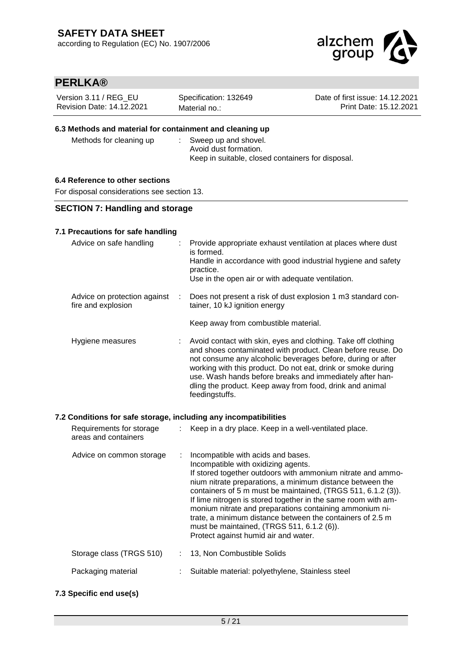

| Version 3.11 / REG EU     | Specification: 132649 | Date of first issue: 14.12.2021 |
|---------------------------|-----------------------|---------------------------------|
| Revision Date: 14.12.2021 | Material no.:         | Print Date: 15.12.2021          |

### **6.3 Methods and material for containment and cleaning up**

Methods for cleaning up : Sweep up and shovel.

Avoid dust formation. Keep in suitable, closed containers for disposal.

### **6.4 Reference to other sections**

For disposal considerations see section 13.

### **SECTION 7: Handling and storage**

### **7.1 Precautions for safe handling**

| Advice on safe handling                            |    | Provide appropriate exhaust ventilation at places where dust<br>is formed.<br>Handle in accordance with good industrial hygiene and safety<br>practice.<br>Use in the open air or with adequate ventilation.                                                                                                                                                                                          |
|----------------------------------------------------|----|-------------------------------------------------------------------------------------------------------------------------------------------------------------------------------------------------------------------------------------------------------------------------------------------------------------------------------------------------------------------------------------------------------|
| Advice on protection against<br>fire and explosion | ÷. | Does not present a risk of dust explosion 1 m3 standard con-<br>tainer, 10 kJ ignition energy                                                                                                                                                                                                                                                                                                         |
|                                                    |    | Keep away from combustible material.                                                                                                                                                                                                                                                                                                                                                                  |
| Hygiene measures                                   |    | Avoid contact with skin, eyes and clothing. Take off clothing<br>and shoes contaminated with product. Clean before reuse. Do<br>not consume any alcoholic beverages before, during or after<br>working with this product. Do not eat, drink or smoke during<br>use. Wash hands before breaks and immediately after han-<br>dling the product. Keep away from food, drink and animal<br>feedingstuffs. |

### **7.2 Conditions for safe storage, including any incompatibilities**

| Requirements for storage<br>areas and containers | Keep in a dry place. Keep in a well-ventilated place.                                                                                                                                                                                                                                                                                                                                                                                                                                                                                                |
|--------------------------------------------------|------------------------------------------------------------------------------------------------------------------------------------------------------------------------------------------------------------------------------------------------------------------------------------------------------------------------------------------------------------------------------------------------------------------------------------------------------------------------------------------------------------------------------------------------------|
| Advice on common storage                         | Incompatible with acids and bases.<br>Incompatible with oxidizing agents.<br>If stored together outdoors with ammonium nitrate and ammo-<br>nium nitrate preparations, a minimum distance between the<br>containers of 5 m must be maintained, (TRGS 511, 6.1.2 (3)).<br>If lime nitrogen is stored together in the same room with am-<br>monium nitrate and preparations containing ammonium ni-<br>trate, a minimum distance between the containers of 2.5 m<br>must be maintained, (TRGS 511, 6.1.2 (6)).<br>Protect against humid air and water. |
| Storage class (TRGS 510)                         | 13, Non Combustible Solids                                                                                                                                                                                                                                                                                                                                                                                                                                                                                                                           |
| Packaging material                               | Suitable material: polyethylene, Stainless steel                                                                                                                                                                                                                                                                                                                                                                                                                                                                                                     |

### **7.3 Specific end use(s)**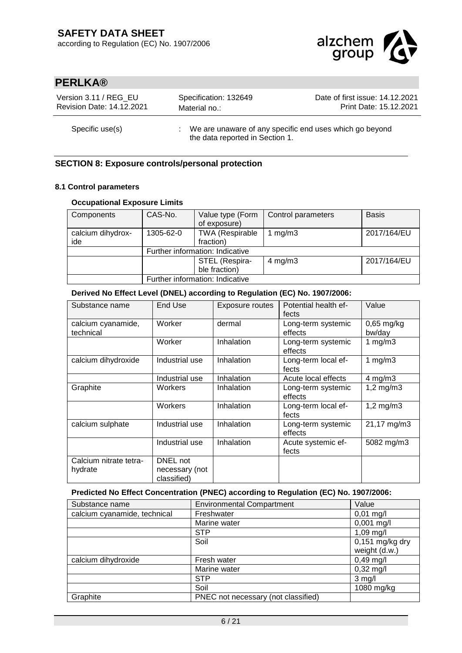

| Version 3.11 / REG EU            | Specification: 132649                                                                        | Date of first issue: 14.12.2021 |
|----------------------------------|----------------------------------------------------------------------------------------------|---------------------------------|
| <b>Revision Date: 14.12.2021</b> | Material no.:                                                                                | Print Date: 15.12.2021          |
| Specific use(s)                  | : We are unaware of any specific end uses which go beyond<br>the data reported in Section 1. |                                 |

## **SECTION 8: Exposure controls/personal protection**

### **8.1 Control parameters**

### **Occupational Exposure Limits**

| Components        | CAS-No.                         | Value type (Form       | Control parameters | <b>Basis</b> |
|-------------------|---------------------------------|------------------------|--------------------|--------------|
|                   |                                 | of exposure)           |                    |              |
| calcium dihydrox- | 1305-62-0                       | <b>TWA (Respirable</b> | mg/m3              | 2017/164/EU  |
| ide               |                                 | fraction)              |                    |              |
|                   | Further information: Indicative |                        |                    |              |
|                   |                                 | STEL (Respira-         | $4$ mg/m $3$       | 2017/164/EU  |
|                   |                                 | ble fraction)          |                    |              |
|                   | Further information: Indicative |                        |                    |              |

### **Derived No Effect Level (DNEL) according to Regulation (EC) No. 1907/2006:**

| Substance name                    | End Use                                   | Exposure routes | Potential health ef-<br>fects | Value                  |
|-----------------------------------|-------------------------------------------|-----------------|-------------------------------|------------------------|
| calcium cyanamide,<br>technical   | Worker                                    | dermal          | Long-term systemic<br>effects | $0,65$ mg/kg<br>bw/day |
|                                   | Worker                                    | Inhalation      | Long-term systemic<br>effects | 1 $mg/m3$              |
| calcium dihydroxide               | Industrial use                            | Inhalation      | Long-term local ef-<br>fects  | 1 $mg/m3$              |
|                                   | Industrial use                            | Inhalation      | Acute local effects           | $4$ mg/m $3$           |
| Graphite                          | Workers                                   | Inhalation      | Long-term systemic<br>effects | $1,2$ mg/m $3$         |
|                                   | Workers                                   | Inhalation      | Long-term local ef-<br>fects  | $1,2$ mg/m $3$         |
| calcium sulphate                  | Industrial use                            | Inhalation      | Long-term systemic<br>effects | 21,17 mg/m3            |
|                                   | Industrial use                            | Inhalation      | Acute systemic ef-<br>fects   | 5082 mg/m3             |
| Calcium nitrate tetra-<br>hydrate | DNEL not<br>necessary (not<br>classified) |                 |                               |                        |

### **Predicted No Effect Concentration (PNEC) according to Regulation (EC) No. 1907/2006:**

| Substance name               | <b>Environmental Compartment</b>    | Value                                         |
|------------------------------|-------------------------------------|-----------------------------------------------|
| calcium cyanamide, technical | Freshwater                          | $0,01$ mg/l                                   |
|                              | Marine water                        | $0,001$ mg/l                                  |
|                              | <b>STP</b>                          | $1,09$ mg/l                                   |
|                              | Soil                                | $\overline{0,}151$ mg/kg dry<br>weight (d.w.) |
| calcium dihydroxide          | Fresh water                         | $0,49$ mg/l                                   |
|                              | Marine water                        | $0,32 \text{ mg/l}$                           |
|                              | <b>STP</b>                          | $3$ mg/l                                      |
|                              | Soil                                | 1080 mg/kg                                    |
| Graphite                     | PNEC not necessary (not classified) |                                               |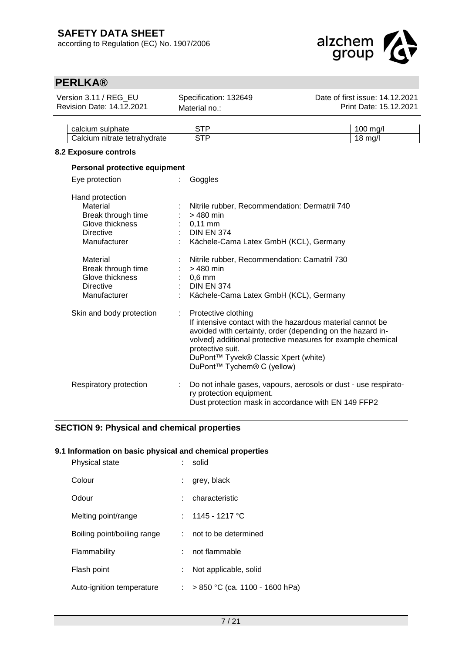

| Version 3.11 / REG_EU<br><b>Revision Date: 14.12.2021</b>                                                                                  | Specification: 132649<br>Material no.:                                                                                                                                                                                                                                                                   | Date of first issue: 14.12.2021<br>Print Date: 15.12.2021 |
|--------------------------------------------------------------------------------------------------------------------------------------------|----------------------------------------------------------------------------------------------------------------------------------------------------------------------------------------------------------------------------------------------------------------------------------------------------------|-----------------------------------------------------------|
| calcium sulphate<br>Calcium nitrate tetrahydrate                                                                                           | <b>STP</b><br><b>STP</b>                                                                                                                                                                                                                                                                                 | 100 mg/l<br>18 mg/l                                       |
| 8.2 Exposure controls                                                                                                                      |                                                                                                                                                                                                                                                                                                          |                                                           |
| Personal protective equipment<br>Eye protection                                                                                            | Goggles                                                                                                                                                                                                                                                                                                  |                                                           |
| Hand protection<br>Material<br>Break through time<br>Glove thickness<br><b>Directive</b><br>Manufacturer<br>Material<br>Break through time | Nitrile rubber, Recommendation: Dermatril 740<br>$>480$ min<br>$0,11$ mm<br><b>DIN EN 374</b><br>Kächele-Cama Latex GmbH (KCL), Germany<br>Nitrile rubber, Recommendation: Camatril 730<br>> 480 min                                                                                                     |                                                           |
| Glove thickness<br><b>Directive</b><br>Manufacturer                                                                                        | $0,6$ mm<br><b>DIN EN 374</b><br>Kächele-Cama Latex GmbH (KCL), Germany                                                                                                                                                                                                                                  |                                                           |
| Skin and body protection                                                                                                                   | Protective clothing<br>If intensive contact with the hazardous material cannot be<br>avoided with certainty, order (depending on the hazard in-<br>volved) additional protective measures for example chemical<br>protective suit.<br>DuPont™ Tyvek® Classic Xpert (white)<br>DuPont™ Tychem® C (yellow) |                                                           |
| Respiratory protection                                                                                                                     | Do not inhale gases, vapours, aerosols or dust - use respirato-<br>ry protection equipment.<br>Dust protection mask in accordance with EN 149 FFP2                                                                                                                                                       |                                                           |

## **SECTION 9: Physical and chemical properties**

### **9.1 Information on basic physical and chemical properties**

| <b>Physical state</b>       | solid                                  |
|-----------------------------|----------------------------------------|
| Colour                      | grey, black                            |
| Odour                       | characteristic                         |
| Melting point/range         | : $1145 - 1217$ °C                     |
| Boiling point/boiling range | not to be determined                   |
| Flammability                | not flammable                          |
| Flash point                 | Not applicable, solid<br>÷.            |
| Auto-ignition temperature   | $> 850$ °C (ca. 1100 - 1600 hPa)<br>t. |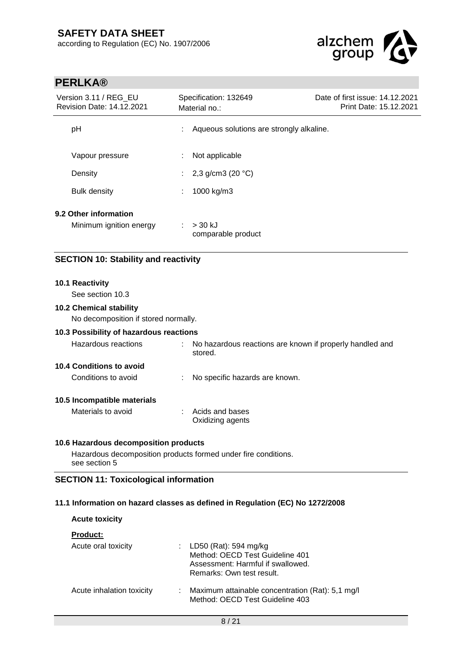

| <b>PERLKA®</b>                                                         |                                                                     |                                                           |
|------------------------------------------------------------------------|---------------------------------------------------------------------|-----------------------------------------------------------|
| Version 3.11 / REG_EU<br>Revision Date: 14.12.2021                     | Specification: 132649<br>Material no.:                              | Date of first issue: 14.12.2021<br>Print Date: 15.12.2021 |
| pH                                                                     | Aqueous solutions are strongly alkaline.                            |                                                           |
| Vapour pressure                                                        | Not applicable                                                      |                                                           |
| Density                                                                | 2,3 g/cm3 (20 $°C$ )                                                |                                                           |
| <b>Bulk density</b>                                                    | 1000 kg/m3                                                          |                                                           |
| 9.2 Other information                                                  |                                                                     |                                                           |
| Minimum ignition energy                                                | > 30 kJ<br>comparable product                                       |                                                           |
| <b>SECTION 10: Stability and reactivity</b>                            |                                                                     |                                                           |
| 10.1 Reactivity                                                        |                                                                     |                                                           |
| See section 10.3                                                       |                                                                     |                                                           |
| <b>10.2 Chemical stability</b><br>No decomposition if stored normally. |                                                                     |                                                           |
| 10.3 Possibility of hazardous reactions                                |                                                                     |                                                           |
| Hazardous reactions                                                    | No hazardous reactions are known if properly handled and<br>stored. |                                                           |
| 10.4 Conditions to avoid                                               |                                                                     |                                                           |
| Conditions to avoid                                                    | No specific hazards are known.                                      |                                                           |
| 10.5 Incompatible materials                                            |                                                                     |                                                           |
| Materials to avoid                                                     | Acids and bases<br>Oxidizing agents                                 |                                                           |
| 10.6 Hazardous decomposition products                                  |                                                                     |                                                           |
| see section 5                                                          | Hazardous decomposition products formed under fire conditions.      |                                                           |
|                                                                        |                                                                     |                                                           |

## **SECTION 11: Toxicological information**

### **11.1 Information on hazard classes as defined in Regulation (EC) No 1272/2008**

## **Acute toxicity**

| <b>Product:</b>           |   |                                                                                                                              |
|---------------------------|---|------------------------------------------------------------------------------------------------------------------------------|
| Acute oral toxicity       |   | : LD50 (Rat): 594 mg/kg<br>Method: OECD Test Guideline 401<br>Assessment: Harmful if swallowed.<br>Remarks: Own test result. |
| Acute inhalation toxicity | ÷ | Maximum attainable concentration (Rat): 5,1 mg/l<br>Method: OECD Test Guideline 403                                          |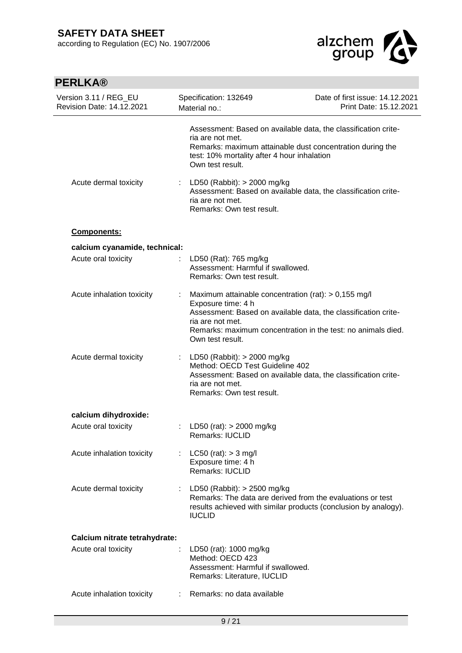

| <b>PERLKA®</b>                                     |    |                                                                                                                                                                                                                                                      |                                                           |
|----------------------------------------------------|----|------------------------------------------------------------------------------------------------------------------------------------------------------------------------------------------------------------------------------------------------------|-----------------------------------------------------------|
| Version 3.11 / REG_EU<br>Revision Date: 14.12.2021 |    | Specification: 132649<br>Material no.:                                                                                                                                                                                                               | Date of first issue: 14.12.2021<br>Print Date: 15.12.2021 |
|                                                    |    | Assessment: Based on available data, the classification crite-<br>ria are not met.<br>Remarks: maximum attainable dust concentration during the<br>test: 10% mortality after 4 hour inhalation<br>Own test result.                                   |                                                           |
| Acute dermal toxicity                              |    | : LD50 (Rabbit): $>$ 2000 mg/kg<br>Assessment: Based on available data, the classification crite-<br>ria are not met.<br>Remarks: Own test result.                                                                                                   |                                                           |
| Components:                                        |    |                                                                                                                                                                                                                                                      |                                                           |
| calcium cyanamide, technical:                      |    |                                                                                                                                                                                                                                                      |                                                           |
| Acute oral toxicity                                |    | LD50 (Rat): 765 mg/kg<br>Assessment: Harmful if swallowed.<br>Remarks: Own test result.                                                                                                                                                              |                                                           |
| Acute inhalation toxicity                          | ÷  | Maximum attainable concentration (rat): > 0,155 mg/l<br>Exposure time: 4 h<br>Assessment: Based on available data, the classification crite-<br>ria are not met.<br>Remarks: maximum concentration in the test: no animals died.<br>Own test result. |                                                           |
| Acute dermal toxicity                              |    | : LD50 (Rabbit): $>$ 2000 mg/kg<br>Method: OECD Test Guideline 402<br>Assessment: Based on available data, the classification crite-<br>ria are not met.<br>Remarks: Own test result.                                                                |                                                           |
| calcium dihydroxide:                               |    |                                                                                                                                                                                                                                                      |                                                           |
| Acute oral toxicity                                |    | : LD50 (rat): $> 2000$ mg/kg<br><b>Remarks: IUCLID</b>                                                                                                                                                                                               |                                                           |
| Acute inhalation toxicity                          |    | LC50 (rat): $>$ 3 mg/l<br>Exposure time: 4 h<br>Remarks: IUCLID                                                                                                                                                                                      |                                                           |
| Acute dermal toxicity                              | t. | LD50 (Rabbit): $>$ 2500 mg/kg<br>Remarks: The data are derived from the evaluations or test<br>results achieved with similar products (conclusion by analogy).<br><b>IUCLID</b>                                                                      |                                                           |
| Calcium nitrate tetrahydrate:                      |    |                                                                                                                                                                                                                                                      |                                                           |
| Acute oral toxicity                                |    | LD50 (rat): 1000 mg/kg<br>Method: OECD 423<br>Assessment: Harmful if swallowed.<br>Remarks: Literature, IUCLID                                                                                                                                       |                                                           |
| Acute inhalation toxicity                          |    | Remarks: no data available                                                                                                                                                                                                                           |                                                           |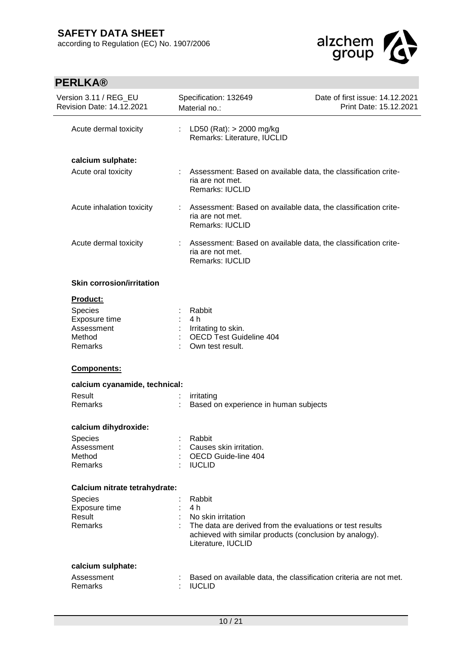

| Version 3.11 / REG_EU<br>Specification: 132649<br><b>Revision Date: 14.12.2021</b><br>Material no.:<br>Acute dermal toxicity<br>÷.<br>LD50 (Rat): $>$ 2000 mg/kg<br>Remarks: Literature, IUCLID<br>calcium sulphate:<br>Acute oral toxicity<br>Assessment: Based on available data, the classification crite-<br>ria are not met.<br>Remarks: IUCLID<br>Assessment: Based on available data, the classification crite-<br>Acute inhalation toxicity<br>÷<br>ria are not met.<br>Remarks: IUCLID<br>Acute dermal toxicity<br>Assessment: Based on available data, the classification crite-<br>ria are not met.<br>Remarks: IUCLID<br><b>Skin corrosion/irritation</b><br>Product:<br>Species<br>Rabbit<br>Exposure time<br>4 h<br>Assessment<br>Irritating to skin.<br><b>OECD Test Guideline 404</b><br>Method<br>Remarks<br>Own test result.<br>Components:<br>calcium cyanamide, technical:<br>Result<br>irritating<br>Remarks<br>Based on experience in human subjects<br>calcium dihydroxide:<br>Rabbit<br>Species<br>Assessment<br>Causes skin irritation.<br>OECD Guide-line 404<br>Method<br>Remarks<br><b>IUCLID</b><br>Calcium nitrate tetrahydrate:<br>Rabbit<br>Species<br>4 h<br>Exposure time<br>Result<br>No skin irritation<br>Remarks<br>The data are derived from the evaluations or test results<br>achieved with similar products (conclusion by analogy).<br>Literature, IUCLID<br>calcium sulphate:<br>Assessment<br>Based on available data, the classification criteria are not met.<br>Remarks<br><b>IUCLID</b> |  |                                                           |
|------------------------------------------------------------------------------------------------------------------------------------------------------------------------------------------------------------------------------------------------------------------------------------------------------------------------------------------------------------------------------------------------------------------------------------------------------------------------------------------------------------------------------------------------------------------------------------------------------------------------------------------------------------------------------------------------------------------------------------------------------------------------------------------------------------------------------------------------------------------------------------------------------------------------------------------------------------------------------------------------------------------------------------------------------------------------------------------------------------------------------------------------------------------------------------------------------------------------------------------------------------------------------------------------------------------------------------------------------------------------------------------------------------------------------------------------------------------------------------------------------------------------------------------|--|-----------------------------------------------------------|
|                                                                                                                                                                                                                                                                                                                                                                                                                                                                                                                                                                                                                                                                                                                                                                                                                                                                                                                                                                                                                                                                                                                                                                                                                                                                                                                                                                                                                                                                                                                                          |  | Date of first issue: 14.12.2021<br>Print Date: 15.12.2021 |
|                                                                                                                                                                                                                                                                                                                                                                                                                                                                                                                                                                                                                                                                                                                                                                                                                                                                                                                                                                                                                                                                                                                                                                                                                                                                                                                                                                                                                                                                                                                                          |  |                                                           |
|                                                                                                                                                                                                                                                                                                                                                                                                                                                                                                                                                                                                                                                                                                                                                                                                                                                                                                                                                                                                                                                                                                                                                                                                                                                                                                                                                                                                                                                                                                                                          |  |                                                           |
|                                                                                                                                                                                                                                                                                                                                                                                                                                                                                                                                                                                                                                                                                                                                                                                                                                                                                                                                                                                                                                                                                                                                                                                                                                                                                                                                                                                                                                                                                                                                          |  |                                                           |
|                                                                                                                                                                                                                                                                                                                                                                                                                                                                                                                                                                                                                                                                                                                                                                                                                                                                                                                                                                                                                                                                                                                                                                                                                                                                                                                                                                                                                                                                                                                                          |  |                                                           |
|                                                                                                                                                                                                                                                                                                                                                                                                                                                                                                                                                                                                                                                                                                                                                                                                                                                                                                                                                                                                                                                                                                                                                                                                                                                                                                                                                                                                                                                                                                                                          |  |                                                           |
|                                                                                                                                                                                                                                                                                                                                                                                                                                                                                                                                                                                                                                                                                                                                                                                                                                                                                                                                                                                                                                                                                                                                                                                                                                                                                                                                                                                                                                                                                                                                          |  |                                                           |
|                                                                                                                                                                                                                                                                                                                                                                                                                                                                                                                                                                                                                                                                                                                                                                                                                                                                                                                                                                                                                                                                                                                                                                                                                                                                                                                                                                                                                                                                                                                                          |  |                                                           |
|                                                                                                                                                                                                                                                                                                                                                                                                                                                                                                                                                                                                                                                                                                                                                                                                                                                                                                                                                                                                                                                                                                                                                                                                                                                                                                                                                                                                                                                                                                                                          |  |                                                           |
|                                                                                                                                                                                                                                                                                                                                                                                                                                                                                                                                                                                                                                                                                                                                                                                                                                                                                                                                                                                                                                                                                                                                                                                                                                                                                                                                                                                                                                                                                                                                          |  |                                                           |
|                                                                                                                                                                                                                                                                                                                                                                                                                                                                                                                                                                                                                                                                                                                                                                                                                                                                                                                                                                                                                                                                                                                                                                                                                                                                                                                                                                                                                                                                                                                                          |  |                                                           |
|                                                                                                                                                                                                                                                                                                                                                                                                                                                                                                                                                                                                                                                                                                                                                                                                                                                                                                                                                                                                                                                                                                                                                                                                                                                                                                                                                                                                                                                                                                                                          |  |                                                           |
|                                                                                                                                                                                                                                                                                                                                                                                                                                                                                                                                                                                                                                                                                                                                                                                                                                                                                                                                                                                                                                                                                                                                                                                                                                                                                                                                                                                                                                                                                                                                          |  |                                                           |
|                                                                                                                                                                                                                                                                                                                                                                                                                                                                                                                                                                                                                                                                                                                                                                                                                                                                                                                                                                                                                                                                                                                                                                                                                                                                                                                                                                                                                                                                                                                                          |  |                                                           |
|                                                                                                                                                                                                                                                                                                                                                                                                                                                                                                                                                                                                                                                                                                                                                                                                                                                                                                                                                                                                                                                                                                                                                                                                                                                                                                                                                                                                                                                                                                                                          |  |                                                           |
|                                                                                                                                                                                                                                                                                                                                                                                                                                                                                                                                                                                                                                                                                                                                                                                                                                                                                                                                                                                                                                                                                                                                                                                                                                                                                                                                                                                                                                                                                                                                          |  |                                                           |
|                                                                                                                                                                                                                                                                                                                                                                                                                                                                                                                                                                                                                                                                                                                                                                                                                                                                                                                                                                                                                                                                                                                                                                                                                                                                                                                                                                                                                                                                                                                                          |  |                                                           |
|                                                                                                                                                                                                                                                                                                                                                                                                                                                                                                                                                                                                                                                                                                                                                                                                                                                                                                                                                                                                                                                                                                                                                                                                                                                                                                                                                                                                                                                                                                                                          |  |                                                           |
|                                                                                                                                                                                                                                                                                                                                                                                                                                                                                                                                                                                                                                                                                                                                                                                                                                                                                                                                                                                                                                                                                                                                                                                                                                                                                                                                                                                                                                                                                                                                          |  |                                                           |
|                                                                                                                                                                                                                                                                                                                                                                                                                                                                                                                                                                                                                                                                                                                                                                                                                                                                                                                                                                                                                                                                                                                                                                                                                                                                                                                                                                                                                                                                                                                                          |  |                                                           |
|                                                                                                                                                                                                                                                                                                                                                                                                                                                                                                                                                                                                                                                                                                                                                                                                                                                                                                                                                                                                                                                                                                                                                                                                                                                                                                                                                                                                                                                                                                                                          |  |                                                           |
|                                                                                                                                                                                                                                                                                                                                                                                                                                                                                                                                                                                                                                                                                                                                                                                                                                                                                                                                                                                                                                                                                                                                                                                                                                                                                                                                                                                                                                                                                                                                          |  |                                                           |
|                                                                                                                                                                                                                                                                                                                                                                                                                                                                                                                                                                                                                                                                                                                                                                                                                                                                                                                                                                                                                                                                                                                                                                                                                                                                                                                                                                                                                                                                                                                                          |  |                                                           |
|                                                                                                                                                                                                                                                                                                                                                                                                                                                                                                                                                                                                                                                                                                                                                                                                                                                                                                                                                                                                                                                                                                                                                                                                                                                                                                                                                                                                                                                                                                                                          |  |                                                           |
|                                                                                                                                                                                                                                                                                                                                                                                                                                                                                                                                                                                                                                                                                                                                                                                                                                                                                                                                                                                                                                                                                                                                                                                                                                                                                                                                                                                                                                                                                                                                          |  |                                                           |
|                                                                                                                                                                                                                                                                                                                                                                                                                                                                                                                                                                                                                                                                                                                                                                                                                                                                                                                                                                                                                                                                                                                                                                                                                                                                                                                                                                                                                                                                                                                                          |  |                                                           |
|                                                                                                                                                                                                                                                                                                                                                                                                                                                                                                                                                                                                                                                                                                                                                                                                                                                                                                                                                                                                                                                                                                                                                                                                                                                                                                                                                                                                                                                                                                                                          |  |                                                           |
|                                                                                                                                                                                                                                                                                                                                                                                                                                                                                                                                                                                                                                                                                                                                                                                                                                                                                                                                                                                                                                                                                                                                                                                                                                                                                                                                                                                                                                                                                                                                          |  |                                                           |
|                                                                                                                                                                                                                                                                                                                                                                                                                                                                                                                                                                                                                                                                                                                                                                                                                                                                                                                                                                                                                                                                                                                                                                                                                                                                                                                                                                                                                                                                                                                                          |  |                                                           |
|                                                                                                                                                                                                                                                                                                                                                                                                                                                                                                                                                                                                                                                                                                                                                                                                                                                                                                                                                                                                                                                                                                                                                                                                                                                                                                                                                                                                                                                                                                                                          |  |                                                           |
|                                                                                                                                                                                                                                                                                                                                                                                                                                                                                                                                                                                                                                                                                                                                                                                                                                                                                                                                                                                                                                                                                                                                                                                                                                                                                                                                                                                                                                                                                                                                          |  |                                                           |
|                                                                                                                                                                                                                                                                                                                                                                                                                                                                                                                                                                                                                                                                                                                                                                                                                                                                                                                                                                                                                                                                                                                                                                                                                                                                                                                                                                                                                                                                                                                                          |  |                                                           |
|                                                                                                                                                                                                                                                                                                                                                                                                                                                                                                                                                                                                                                                                                                                                                                                                                                                                                                                                                                                                                                                                                                                                                                                                                                                                                                                                                                                                                                                                                                                                          |  |                                                           |
|                                                                                                                                                                                                                                                                                                                                                                                                                                                                                                                                                                                                                                                                                                                                                                                                                                                                                                                                                                                                                                                                                                                                                                                                                                                                                                                                                                                                                                                                                                                                          |  |                                                           |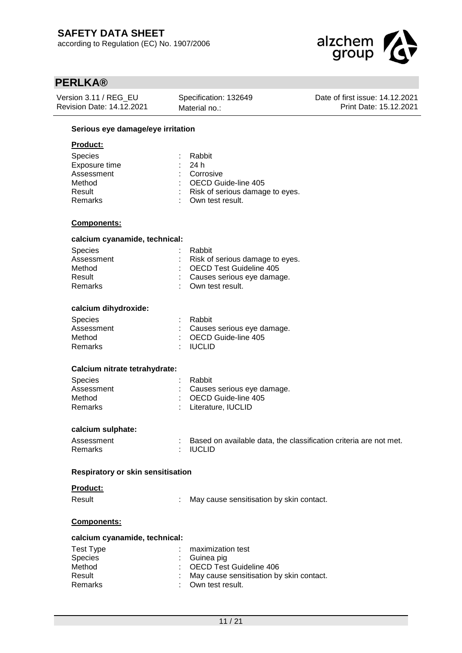

| Version 3.11 / REG EU            | Specification: 132649 | Date of first issue: 14.12.2021 |
|----------------------------------|-----------------------|---------------------------------|
| <b>Revision Date: 14.12.2021</b> | Material no.:         | Print Date: 15.12.2021          |
|                                  |                       |                                 |

### **Serious eye damage/eye irritation**

### **Product:**

| <b>Species</b> | : Rabbit                          |
|----------------|-----------------------------------|
| Exposure time  | : 24h                             |
| Assessment     | : Corrosive                       |
| Method         | : OECD Guide-line 405             |
| Result         | : Risk of serious damage to eyes. |
| Remarks        | : Own test result.                |
|                |                                   |

### **Components:**

### **calcium cyanamide, technical:**

| <b>Species</b> | : Rabbit                          |
|----------------|-----------------------------------|
| Assessment     | : Risk of serious damage to eyes. |
| Method         | : OECD Test Guideline 405         |
| Result         | : Causes serious eye damage.      |
| Remarks        | : Own test result.                |
|                |                                   |

### **calcium dihydroxide:**

| <b>Species</b> | : Rabbit                         |
|----------------|----------------------------------|
| Assessment     | : Causes serious eye damage.     |
| Method         | $\therefore$ OECD Guide-line 405 |
| Remarks        | : IUCLID                         |

#### **Calcium nitrate tetrahydrate:**

| <b>Species</b> | : Rabbit                         |
|----------------|----------------------------------|
| Assessment     | : Causes serious eye damage.     |
| Method         | $\therefore$ OECD Guide-line 405 |
| Remarks        | : Literature. IUCLID             |

### **calcium sulphate:**

| Assessment     | Based on available data, the classification criteria are not met. |
|----------------|-------------------------------------------------------------------|
| <b>Remarks</b> | : IUCLID                                                          |

#### **Respiratory or skin sensitisation**

#### **Product:**

Result : May cause sensitisation by skin contact.

#### **Components:**

#### **calcium cyanamide, technical:**

| Test Type      | $:$ maximization test                      |
|----------------|--------------------------------------------|
| <b>Species</b> | : Guinea pig                               |
| Method         | : OECD Test Guideline 406                  |
| Result         | : May cause sensitisation by skin contact. |
| Remarks        | : Own test result.                         |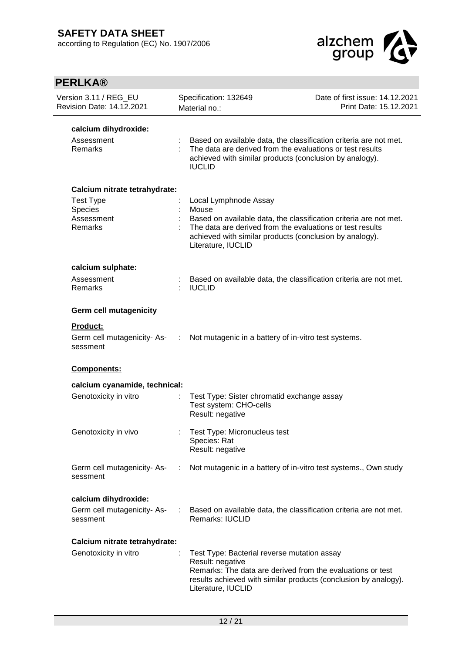

| <b>PERLKA®</b>                                                                        |                                                                                                                                                                              |                                                                   |
|---------------------------------------------------------------------------------------|------------------------------------------------------------------------------------------------------------------------------------------------------------------------------|-------------------------------------------------------------------|
| Version 3.11 / REG_EU<br>Revision Date: 14.12.2021                                    | Specification: 132649<br>Material no.:                                                                                                                                       | Date of first issue: 14.12.2021<br>Print Date: 15.12.2021         |
| calcium dihydroxide:<br>Assessment<br><b>Remarks</b>                                  | The data are derived from the evaluations or test results<br>achieved with similar products (conclusion by analogy).<br><b>IUCLID</b>                                        | Based on available data, the classification criteria are not met. |
| Calcium nitrate tetrahydrate:<br><b>Test Type</b><br>Species<br>Assessment<br>Remarks | Local Lymphnode Assay<br>Mouse<br>The data are derived from the evaluations or test results<br>achieved with similar products (conclusion by analogy).<br>Literature, IUCLID | Based on available data, the classification criteria are not met. |
| calcium sulphate:<br>Assessment<br>Remarks                                            | <b>IUCLID</b>                                                                                                                                                                | Based on available data, the classification criteria are not met. |
| <b>Germ cell mutagenicity</b><br>Product:<br>Germ cell mutagenicity- As-<br>sessment  | ÷<br>Not mutagenic in a battery of in-vitro test systems.                                                                                                                    |                                                                   |
| Components:                                                                           |                                                                                                                                                                              |                                                                   |
| calcium cyanamide, technical:<br>Genotoxicity in vitro                                | Test Type: Sister chromatid exchange assay<br>Test system: CHO-cells<br>Result: negative                                                                                     |                                                                   |
| Genotoxicity in vivo                                                                  | Test Type: Micronucleus test<br>Species: Rat<br>Result: negative                                                                                                             |                                                                   |
| Germ cell mutagenicity-As-<br>sessment                                                | ÷.                                                                                                                                                                           | Not mutagenic in a battery of in-vitro test systems., Own study   |
| calcium dihydroxide:                                                                  |                                                                                                                                                                              |                                                                   |
| Germ cell mutagenicity-As-<br>sessment                                                | <b>Remarks: IUCLID</b>                                                                                                                                                       | Based on available data, the classification criteria are not met. |
| Calcium nitrate tetrahydrate:                                                         |                                                                                                                                                                              |                                                                   |
| Genotoxicity in vitro                                                                 | Test Type: Bacterial reverse mutation assay<br>Result: negative<br>Remarks: The data are derived from the evaluations or test<br>Literature, IUCLID                          | results achieved with similar products (conclusion by analogy).   |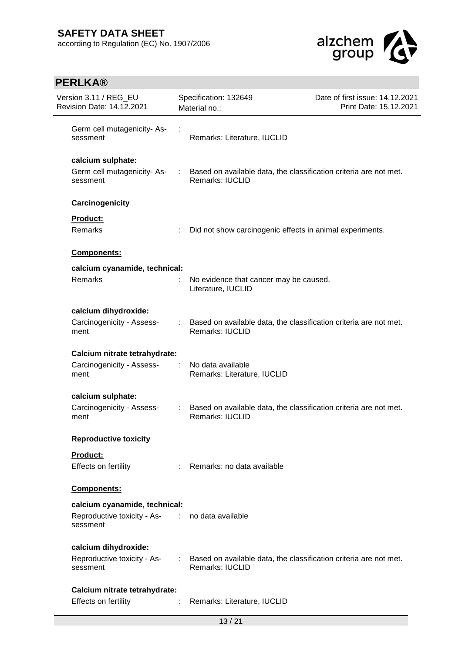

| Version 3.11 / REG_EU<br>Revision Date: 14.12.2021                                           |                             | Specification: 132649<br>Material no.:                                                        | Date of first issue: 14.12.2021<br>Print Date: 15.12.2021 |
|----------------------------------------------------------------------------------------------|-----------------------------|-----------------------------------------------------------------------------------------------|-----------------------------------------------------------|
| Germ cell mutagenicity- As-<br>sessment                                                      |                             | Remarks: Literature, IUCLID                                                                   |                                                           |
| calcium sulphate:<br>Germ cell mutagenicity-As-<br>sessment                                  |                             | Based on available data, the classification criteria are not met.<br><b>Remarks: IUCLID</b>   |                                                           |
| Carcinogenicity                                                                              |                             |                                                                                               |                                                           |
| Product:                                                                                     |                             |                                                                                               |                                                           |
| Remarks                                                                                      | ÷                           | Did not show carcinogenic effects in animal experiments.                                      |                                                           |
| Components:                                                                                  |                             |                                                                                               |                                                           |
| calcium cyanamide, technical:                                                                |                             |                                                                                               |                                                           |
| <b>Remarks</b>                                                                               |                             | No evidence that cancer may be caused.<br>Literature, IUCLID                                  |                                                           |
| calcium dihydroxide:                                                                         |                             |                                                                                               |                                                           |
| Carcinogenicity - Assess-<br>ment                                                            |                             | : Based on available data, the classification criteria are not met.<br><b>Remarks: IUCLID</b> |                                                           |
| Calcium nitrate tetrahydrate:                                                                |                             |                                                                                               |                                                           |
| Carcinogenicity - Assess-<br>ment                                                            | ÷                           | No data available<br>Remarks: Literature, IUCLID                                              |                                                           |
| calcium sulphate:                                                                            |                             |                                                                                               |                                                           |
| Carcinogenicity - Assess-<br>ment                                                            | $\mathcal{L}^{\mathcal{L}}$ | Based on available data, the classification criteria are not met.<br><b>Remarks: IUCLID</b>   |                                                           |
| <b>Reproductive toxicity</b>                                                                 |                             |                                                                                               |                                                           |
| Product:<br>Effects on fertility                                                             | ÷                           | Remarks: no data available                                                                    |                                                           |
| Components:                                                                                  |                             |                                                                                               |                                                           |
| calcium cyanamide, technical:<br>Reproductive toxicity - As- : no data available<br>sessment |                             |                                                                                               |                                                           |
| calcium dihydroxide:<br>Reproductive toxicity - As-<br>sessment                              |                             | : Based on available data, the classification criteria are not met.<br><b>Remarks: IUCLID</b> |                                                           |
| Calcium nitrate tetrahydrate:<br>Effects on fertility                                        |                             | Remarks: Literature, IUCLID                                                                   |                                                           |
|                                                                                              |                             |                                                                                               |                                                           |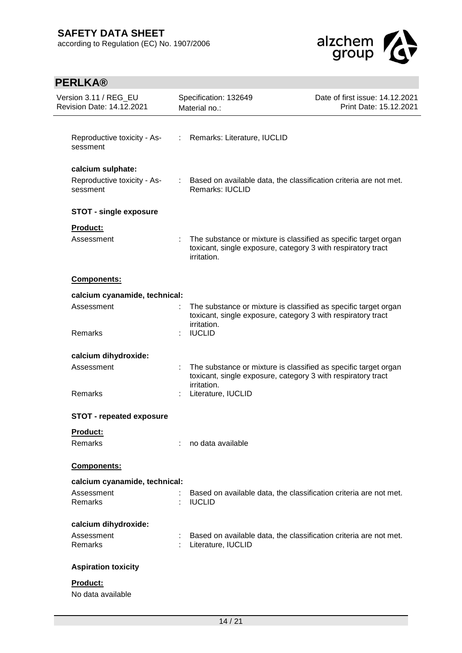

| Version 3.11 / REG_EU<br><b>Revision Date: 14.12.2021</b>    |               | Specification: 132649<br>Material no.:                                                                                                         | Date of first issue: 14.12.2021<br>Print Date: 15.12.2021 |  |
|--------------------------------------------------------------|---------------|------------------------------------------------------------------------------------------------------------------------------------------------|-----------------------------------------------------------|--|
| Reproductive toxicity - As-<br>sessment                      | $\mathcal{L}$ | Remarks: Literature, IUCLID                                                                                                                    |                                                           |  |
| calcium sulphate:<br>Reproductive toxicity - As-<br>sessment |               | : Based on available data, the classification criteria are not met.<br>Remarks: IUCLID                                                         |                                                           |  |
| <b>STOT - single exposure</b>                                |               |                                                                                                                                                |                                                           |  |
| Product:<br>Assessment                                       |               | The substance or mixture is classified as specific target organ<br>toxicant, single exposure, category 3 with respiratory tract<br>irritation. |                                                           |  |
| Components:                                                  |               |                                                                                                                                                |                                                           |  |
| calcium cyanamide, technical:                                |               |                                                                                                                                                |                                                           |  |
| Assessment                                                   |               | The substance or mixture is classified as specific target organ<br>toxicant, single exposure, category 3 with respiratory tract                |                                                           |  |
| Remarks                                                      |               | irritation.<br><b>IUCLID</b>                                                                                                                   |                                                           |  |
| calcium dihydroxide:                                         |               |                                                                                                                                                |                                                           |  |
| Assessment                                                   |               | The substance or mixture is classified as specific target organ<br>toxicant, single exposure, category 3 with respiratory tract<br>irritation. |                                                           |  |
| Remarks                                                      |               | Literature, IUCLID                                                                                                                             |                                                           |  |
| <b>STOT - repeated exposure</b>                              |               |                                                                                                                                                |                                                           |  |
| <b>Product:</b>                                              |               |                                                                                                                                                |                                                           |  |
| Remarks                                                      |               | no data available                                                                                                                              |                                                           |  |
| <b>Components:</b>                                           |               |                                                                                                                                                |                                                           |  |
| calcium cyanamide, technical:                                |               |                                                                                                                                                |                                                           |  |
| Assessment<br>Remarks                                        |               | Based on available data, the classification criteria are not met.<br><b>IUCLID</b>                                                             |                                                           |  |
| calcium dihydroxide:                                         |               |                                                                                                                                                |                                                           |  |
| Assessment<br>Remarks                                        |               | Based on available data, the classification criteria are not met.<br>Literature, IUCLID                                                        |                                                           |  |
| <b>Aspiration toxicity</b>                                   |               |                                                                                                                                                |                                                           |  |
| Product:<br>No data available                                |               |                                                                                                                                                |                                                           |  |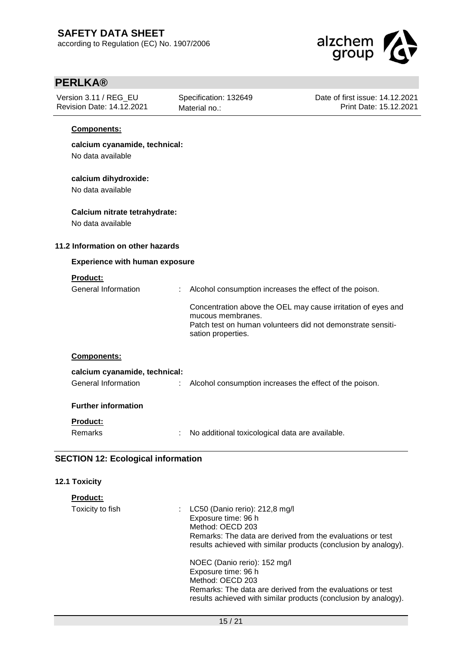

| -- 7<br>Version 3.11 / REG_EU<br>Revision Date: 14.12.2021 | Specification: 132649<br>Material no.:                        | Date of first issue: 14.12.2021<br>Print Date: 15.12.2021                                                                   |
|------------------------------------------------------------|---------------------------------------------------------------|-----------------------------------------------------------------------------------------------------------------------------|
| Components:                                                |                                                               |                                                                                                                             |
| calcium cyanamide, technical:<br>No data available         |                                                               |                                                                                                                             |
| calcium dihydroxide:<br>No data available                  |                                                               |                                                                                                                             |
| Calcium nitrate tetrahydrate:<br>No data available         |                                                               |                                                                                                                             |
| 11.2 Information on other hazards                          |                                                               |                                                                                                                             |
| <b>Experience with human exposure</b>                      |                                                               |                                                                                                                             |
| Product:<br>General Information                            | Alcohol consumption increases the effect of the poison.       |                                                                                                                             |
|                                                            | mucous membranes.<br>sation properties.                       | Concentration above the OEL may cause irritation of eyes and<br>Patch test on human volunteers did not demonstrate sensiti- |
| Components:                                                |                                                               |                                                                                                                             |
| calcium cyanamide, technical:<br>General Information       | Alcohol consumption increases the effect of the poison.<br>÷. |                                                                                                                             |
| <b>Further information</b>                                 |                                                               |                                                                                                                             |
| <b>Product:</b>                                            |                                                               |                                                                                                                             |
| Remarks                                                    | : No additional toxicological data are available.             |                                                                                                                             |
| <b>SECTION 12: Ecological information</b>                  |                                                               |                                                                                                                             |
| 12.1 Toxicity                                              |                                                               |                                                                                                                             |

| <b>Product:</b>  |                                                                                                                                                                                                                |
|------------------|----------------------------------------------------------------------------------------------------------------------------------------------------------------------------------------------------------------|
| Toxicity to fish | : LC50 (Danio rerio): $212,8$ mg/l<br>Exposure time: 96 h<br>Method: OECD 203<br>Remarks: The data are derived from the evaluations or test<br>results achieved with similar products (conclusion by analogy). |
|                  | NOEC (Danio rerio): 152 mg/l<br>Exposure time: 96 h<br>Method: OECD 203<br>Remarks: The data are derived from the evaluations or test<br>results achieved with similar products (conclusion by analogy).       |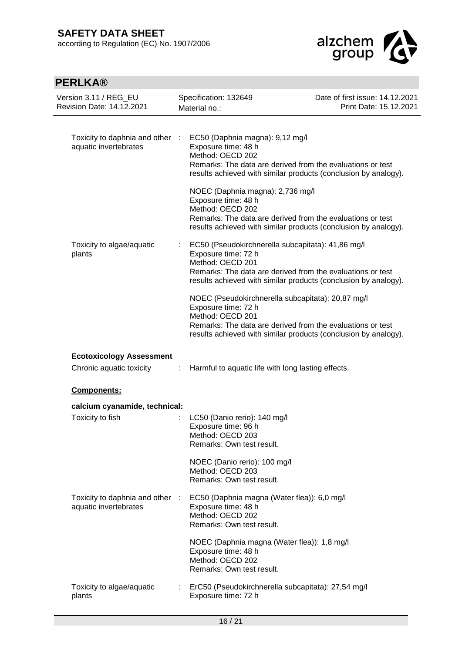

| Version 3.11 / REG_EU<br><b>Revision Date: 14.12.2021</b>   |   | Specification: 132649<br>Material no.:                                                                                                                     | Date of first issue: 14.12.2021<br>Print Date: 15.12.2021       |
|-------------------------------------------------------------|---|------------------------------------------------------------------------------------------------------------------------------------------------------------|-----------------------------------------------------------------|
| Toxicity to daphnia and other :<br>aquatic invertebrates    |   | EC50 (Daphnia magna): 9,12 mg/l<br>Exposure time: 48 h<br>Method: OECD 202<br>Remarks: The data are derived from the evaluations or test                   | results achieved with similar products (conclusion by analogy). |
|                                                             |   | NOEC (Daphnia magna): 2,736 mg/l<br>Exposure time: 48 h<br>Method: OECD 202<br>Remarks: The data are derived from the evaluations or test                  | results achieved with similar products (conclusion by analogy). |
| Toxicity to algae/aquatic<br>plants                         | ÷ | EC50 (Pseudokirchnerella subcapitata): 41,86 mg/l<br>Exposure time: 72 h<br>Method: OECD 201<br>Remarks: The data are derived from the evaluations or test | results achieved with similar products (conclusion by analogy). |
|                                                             |   | NOEC (Pseudokirchnerella subcapitata): 20,87 mg/l<br>Exposure time: 72 h<br>Method: OECD 201<br>Remarks: The data are derived from the evaluations or test | results achieved with similar products (conclusion by analogy). |
| <b>Ecotoxicology Assessment</b><br>Chronic aquatic toxicity | ÷ | Harmful to aquatic life with long lasting effects.                                                                                                         |                                                                 |
| <b>Components:</b>                                          |   |                                                                                                                                                            |                                                                 |
| calcium cyanamide, technical:                               |   |                                                                                                                                                            |                                                                 |
| Toxicity to fish                                            |   | LC50 (Danio rerio): 140 mg/l<br>Exposure time: 96 h<br>Method: OECD 203<br>Remarks: Own test result.                                                       |                                                                 |
|                                                             |   | NOEC (Danio rerio): 100 mg/l<br>Method: OECD 203<br>Remarks: Own test result.                                                                              |                                                                 |
| Toxicity to daphnia and other :<br>aquatic invertebrates    |   | EC50 (Daphnia magna (Water flea)): 6,0 mg/l<br>Exposure time: 48 h<br>Method: OECD 202<br>Remarks: Own test result.                                        |                                                                 |
|                                                             |   | NOEC (Daphnia magna (Water flea)): 1,8 mg/l<br>Exposure time: 48 h<br>Method: OECD 202<br>Remarks: Own test result.                                        |                                                                 |
| Toxicity to algae/aquatic<br>plants                         |   | ErC50 (Pseudokirchnerella subcapitata): 27,54 mg/l<br>Exposure time: 72 h                                                                                  |                                                                 |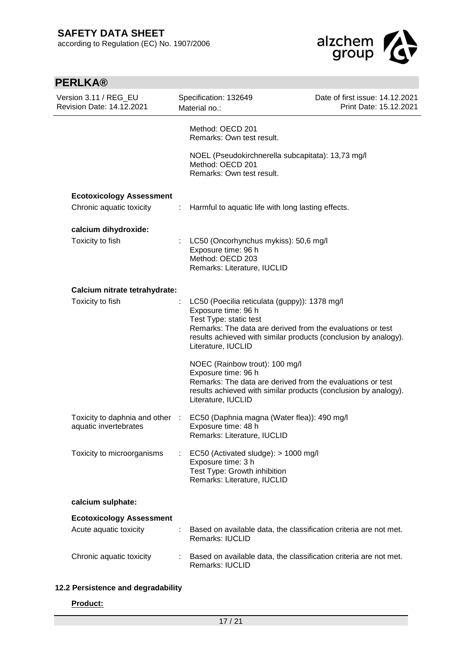j.



| <b>PERLKA®</b>                                            |   |                                                                                                                                                                                                                                                       |                                                           |
|-----------------------------------------------------------|---|-------------------------------------------------------------------------------------------------------------------------------------------------------------------------------------------------------------------------------------------------------|-----------------------------------------------------------|
| Version 3.11 / REG_EU<br><b>Revision Date: 14.12.2021</b> |   | Specification: 132649<br>Material no.:                                                                                                                                                                                                                | Date of first issue: 14.12.2021<br>Print Date: 15.12.2021 |
|                                                           |   | Method: OECD 201<br>Remarks: Own test result.                                                                                                                                                                                                         |                                                           |
|                                                           |   | NOEL (Pseudokirchnerella subcapitata): 13,73 mg/l<br>Method: OECD 201<br>Remarks: Own test result.                                                                                                                                                    |                                                           |
| <b>Ecotoxicology Assessment</b>                           |   |                                                                                                                                                                                                                                                       |                                                           |
| Chronic aquatic toxicity                                  | ÷ | Harmful to aquatic life with long lasting effects.                                                                                                                                                                                                    |                                                           |
| calcium dihydroxide:                                      |   |                                                                                                                                                                                                                                                       |                                                           |
| Toxicity to fish                                          |   | LC50 (Oncorhynchus mykiss): 50,6 mg/l<br>Exposure time: 96 h<br>Method: OECD 203<br>Remarks: Literature, IUCLID                                                                                                                                       |                                                           |
| Calcium nitrate tetrahydrate:                             |   |                                                                                                                                                                                                                                                       |                                                           |
| Toxicity to fish                                          |   | LC50 (Poecilia reticulata (guppy)): 1378 mg/l<br>Exposure time: 96 h<br>Test Type: static test<br>Remarks: The data are derived from the evaluations or test<br>results achieved with similar products (conclusion by analogy).<br>Literature, IUCLID |                                                           |
|                                                           |   | NOEC (Rainbow trout): 100 mg/l<br>Exposure time: 96 h<br>Remarks: The data are derived from the evaluations or test<br>results achieved with similar products (conclusion by analogy).<br>Literature, IUCLID                                          |                                                           |
| Toxicity to daphnia and other :<br>aquatic invertebrates  |   | EC50 (Daphnia magna (Water flea)): 490 mg/l<br>Exposure time: 48 h<br>Remarks: Literature, IUCLID                                                                                                                                                     |                                                           |
| Toxicity to microorganisms                                |   | EC50 (Activated sludge): > 1000 mg/l<br>Exposure time: 3 h<br>Test Type: Growth inhibition<br>Remarks: Literature, IUCLID                                                                                                                             |                                                           |
| calcium sulphate:                                         |   |                                                                                                                                                                                                                                                       |                                                           |
| <b>Ecotoxicology Assessment</b>                           |   |                                                                                                                                                                                                                                                       |                                                           |
| Acute aquatic toxicity                                    |   | Based on available data, the classification criteria are not met.<br><b>Remarks: IUCLID</b>                                                                                                                                                           |                                                           |
| Chronic aquatic toxicity                                  |   | Based on available data, the classification criteria are not met.<br>Remarks: IUCLID                                                                                                                                                                  |                                                           |
|                                                           |   |                                                                                                                                                                                                                                                       |                                                           |

## **12.2 Persistence and degradability**

### **Product:**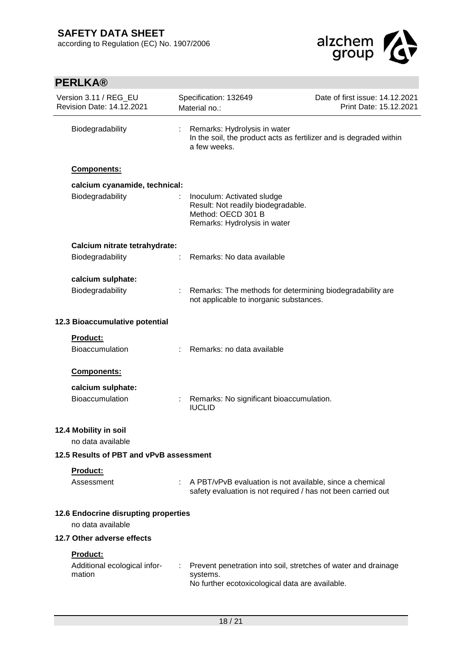

| <b>PERLKA®</b>                                     |   |                                                                                                                               |                                                           |
|----------------------------------------------------|---|-------------------------------------------------------------------------------------------------------------------------------|-----------------------------------------------------------|
| Version 3.11 / REG_EU<br>Revision Date: 14.12.2021 |   | Specification: 132649<br>Material no.:                                                                                        | Date of first issue: 14.12.2021<br>Print Date: 15.12.2021 |
| Biodegradability                                   | ÷ | Remarks: Hydrolysis in water<br>In the soil, the product acts as fertilizer and is degraded within<br>a few weeks.            |                                                           |
| Components:                                        |   |                                                                                                                               |                                                           |
| calcium cyanamide, technical:                      |   |                                                                                                                               |                                                           |
| Biodegradability                                   |   | Inoculum: Activated sludge<br>Result: Not readily biodegradable.<br>Method: OECD 301 B<br>Remarks: Hydrolysis in water        |                                                           |
| Calcium nitrate tetrahydrate:                      |   |                                                                                                                               |                                                           |
| Biodegradability                                   | ÷ | Remarks: No data available                                                                                                    |                                                           |
| calcium sulphate:                                  |   |                                                                                                                               |                                                           |
| Biodegradability                                   |   | Remarks: The methods for determining biodegradability are<br>not applicable to inorganic substances.                          |                                                           |
| 12.3 Bioaccumulative potential                     |   |                                                                                                                               |                                                           |
| Product:                                           |   |                                                                                                                               |                                                           |
| Bioaccumulation                                    |   | Remarks: no data available                                                                                                    |                                                           |
| Components:                                        |   |                                                                                                                               |                                                           |
| calcium sulphate:                                  |   |                                                                                                                               |                                                           |
| Bioaccumulation                                    |   | Remarks: No significant bioaccumulation.<br><b>IUCLID</b>                                                                     |                                                           |
| 12.4 Mobility in soil<br>no data available         |   |                                                                                                                               |                                                           |
| 12.5 Results of PBT and vPvB assessment            |   |                                                                                                                               |                                                           |
| Product:                                           |   |                                                                                                                               |                                                           |
| Assessment                                         |   | A PBT/vPvB evaluation is not available, since a chemical<br>safety evaluation is not required / has not been carried out      |                                                           |
| 12.6 Endocrine disrupting properties               |   |                                                                                                                               |                                                           |
| no data available                                  |   |                                                                                                                               |                                                           |
| 12.7 Other adverse effects                         |   |                                                                                                                               |                                                           |
| Product:<br>Additional ecological infor-<br>mation |   | Prevent penetration into soil, stretches of water and drainage<br>systems.<br>No further ecotoxicological data are available. |                                                           |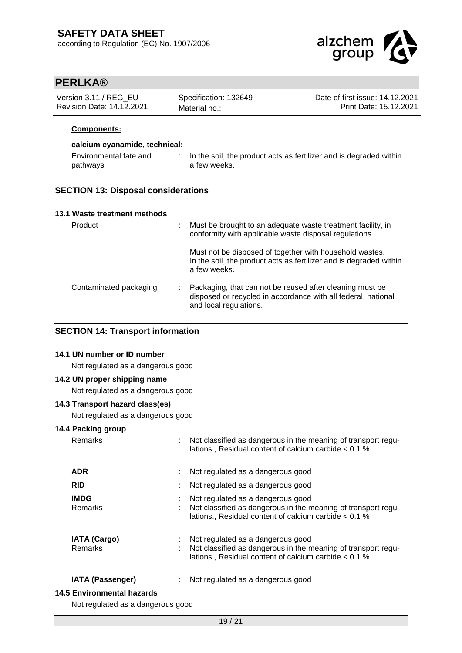

| Version 3.11 / REG EU     | Specification: 132649 | Date of first issue: 14.12.2021 |
|---------------------------|-----------------------|---------------------------------|
| Revision Date: 14.12.2021 | Material no.:         | Print Date: 15.12.2021          |

### **Components:**

### **calcium cyanamide, technical:**

| Environmental fate and | In the soil, the product acts as fertilizer and is degraded within |
|------------------------|--------------------------------------------------------------------|
| pathways               | a few weeks.                                                       |

### **SECTION 13: Disposal considerations**

| 13.1 Waste treatment methods |                                                                                                                                                     |
|------------------------------|-----------------------------------------------------------------------------------------------------------------------------------------------------|
| Product                      | Must be brought to an adequate waste treatment facility, in<br>conformity with applicable waste disposal regulations.                               |
|                              | Must not be disposed of together with household wastes.<br>In the soil, the product acts as fertilizer and is degraded within<br>a few weeks.       |
| Contaminated packaging       | Packaging, that can not be reused after cleaning must be<br>disposed or recycled in accordance with all federal, national<br>and local regulations. |

### **SECTION 14: Transport information**

## **14.1 UN number or ID number**

Not regulated as a dangerous good

### **14.2 UN proper shipping name**

Not regulated as a dangerous good

## **14.3 Transport hazard class(es)**

Not regulated as a dangerous good

### **14.4 Packing group**

| Remarks                           | Not classified as dangerous in the meaning of transport regu-<br>lations., Residual content of calcium carbide < 0.1 %                                      |
|-----------------------------------|-------------------------------------------------------------------------------------------------------------------------------------------------------------|
| <b>ADR</b>                        | Not regulated as a dangerous good                                                                                                                           |
| <b>RID</b>                        | Not regulated as a dangerous good                                                                                                                           |
| <b>IMDG</b><br><b>Remarks</b>     | Not regulated as a dangerous good<br>Not classified as dangerous in the meaning of transport regu-<br>lations., Residual content of calcium carbide < 0.1 % |
| <b>IATA (Cargo)</b><br>Remarks    | Not regulated as a dangerous good<br>Not classified as dangerous in the meaning of transport regu-<br>lations., Residual content of calcium carbide < 0.1 % |
| <b>IATA (Passenger)</b>           | Not regulated as a dangerous good                                                                                                                           |
| 14.5 Environmental hazards        |                                                                                                                                                             |
| Not regulated as a dangerous good |                                                                                                                                                             |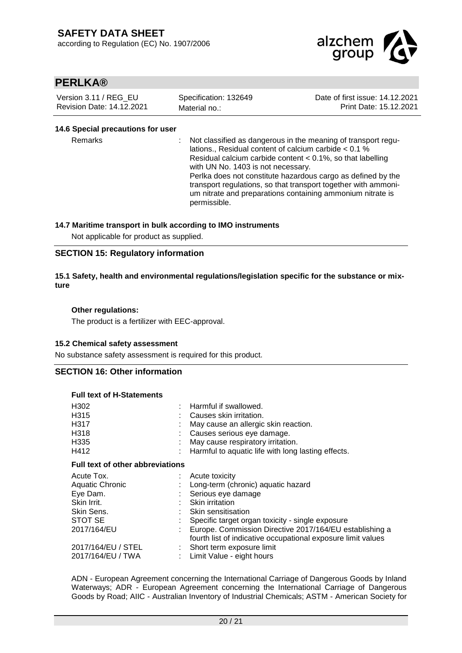

| Version 3.11 / REG EU     | Specification: 132649 | Date of first issue: 14.12.2021 |
|---------------------------|-----------------------|---------------------------------|
| Revision Date: 14.12.2021 | Material no.:         | Print Date: 15.12.2021          |

### **14.6 Special precautions for user**

Remarks : Not classified as dangerous in the meaning of transport regulations., Residual content of calcium carbide < 0.1 % Residual calcium carbide content < 0.1%, so that labelling with UN No. 1403 is not necessary. Perlka does not constitute hazardous cargo as defined by the transport regulations, so that transport together with ammonium nitrate and preparations containing ammonium nitrate is permissible.

### **14.7 Maritime transport in bulk according to IMO instruments**

Not applicable for product as supplied.

### **SECTION 15: Regulatory information**

### **15.1 Safety, health and environmental regulations/legislation specific for the substance or mixture**

### **Other regulations:**

The product is a fertilizer with EEC-approval.

#### **15.2 Chemical safety assessment**

No substance safety assessment is required for this product.

### **SECTION 16: Other information**

### **Full text of H-Statements**

| H315<br>: Causes skin irritation.<br>H317<br>May cause an allergic skin reaction.<br>H318<br>Causes serious eye damage.<br>H335<br>May cause respiratory irritation.<br>H412<br>Harmful to aquatic life with long lasting effects.<br><b>Full text of other abbreviations</b><br>Acute Tox.<br>$:$ Acute toxicity<br><b>Aquatic Chronic</b><br>Long-term (chronic) aquatic hazard<br>Eye Dam.<br>Serious eye damage<br>Skin Irrit.<br><b>Skin irritation</b><br>Skin Sens.<br><b>Skin sensitisation</b><br>STOT SE<br>Specific target organ toxicity - single exposure<br>2017/164/EU<br>fourth list of indicative occupational exposure limit values<br>2017/164/EU / STEL<br>: Short term exposure limit<br>2017/164/EU / TWA<br>Limit Value - eight hours | H302 | : Harmful if swallowed.                                 |
|--------------------------------------------------------------------------------------------------------------------------------------------------------------------------------------------------------------------------------------------------------------------------------------------------------------------------------------------------------------------------------------------------------------------------------------------------------------------------------------------------------------------------------------------------------------------------------------------------------------------------------------------------------------------------------------------------------------------------------------------------------------|------|---------------------------------------------------------|
|                                                                                                                                                                                                                                                                                                                                                                                                                                                                                                                                                                                                                                                                                                                                                              |      |                                                         |
|                                                                                                                                                                                                                                                                                                                                                                                                                                                                                                                                                                                                                                                                                                                                                              |      |                                                         |
|                                                                                                                                                                                                                                                                                                                                                                                                                                                                                                                                                                                                                                                                                                                                                              |      |                                                         |
|                                                                                                                                                                                                                                                                                                                                                                                                                                                                                                                                                                                                                                                                                                                                                              |      |                                                         |
|                                                                                                                                                                                                                                                                                                                                                                                                                                                                                                                                                                                                                                                                                                                                                              |      |                                                         |
|                                                                                                                                                                                                                                                                                                                                                                                                                                                                                                                                                                                                                                                                                                                                                              |      |                                                         |
|                                                                                                                                                                                                                                                                                                                                                                                                                                                                                                                                                                                                                                                                                                                                                              |      |                                                         |
|                                                                                                                                                                                                                                                                                                                                                                                                                                                                                                                                                                                                                                                                                                                                                              |      |                                                         |
|                                                                                                                                                                                                                                                                                                                                                                                                                                                                                                                                                                                                                                                                                                                                                              |      |                                                         |
|                                                                                                                                                                                                                                                                                                                                                                                                                                                                                                                                                                                                                                                                                                                                                              |      |                                                         |
|                                                                                                                                                                                                                                                                                                                                                                                                                                                                                                                                                                                                                                                                                                                                                              |      |                                                         |
|                                                                                                                                                                                                                                                                                                                                                                                                                                                                                                                                                                                                                                                                                                                                                              |      |                                                         |
|                                                                                                                                                                                                                                                                                                                                                                                                                                                                                                                                                                                                                                                                                                                                                              |      | Europe. Commission Directive 2017/164/EU establishing a |
|                                                                                                                                                                                                                                                                                                                                                                                                                                                                                                                                                                                                                                                                                                                                                              |      |                                                         |
|                                                                                                                                                                                                                                                                                                                                                                                                                                                                                                                                                                                                                                                                                                                                                              |      |                                                         |
|                                                                                                                                                                                                                                                                                                                                                                                                                                                                                                                                                                                                                                                                                                                                                              |      |                                                         |

ADN - European Agreement concerning the International Carriage of Dangerous Goods by Inland Waterways; ADR - European Agreement concerning the International Carriage of Dangerous Goods by Road; AIIC - Australian Inventory of Industrial Chemicals; ASTM - American Society for